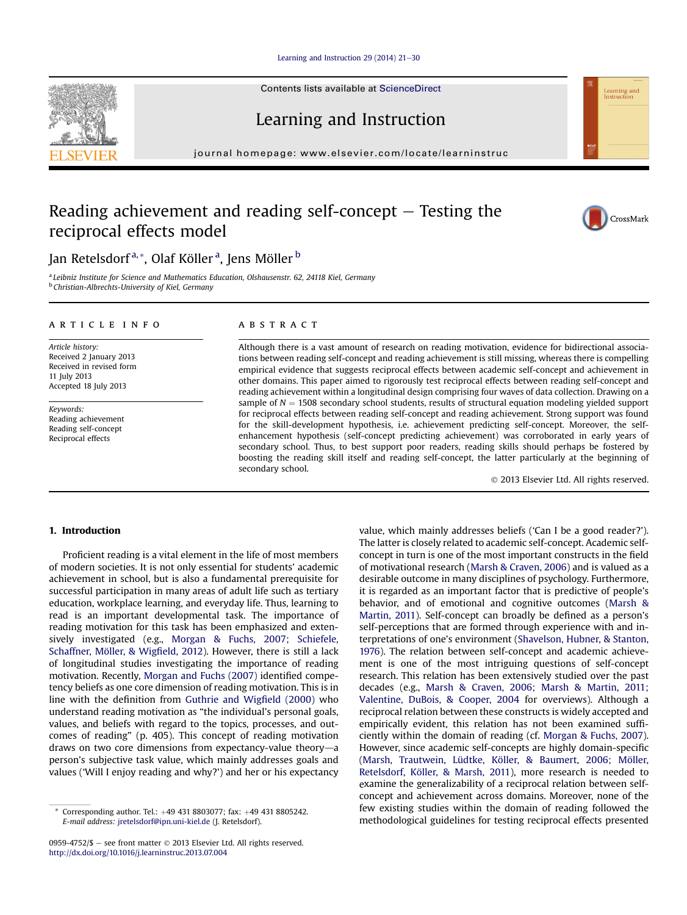Learning and Instruction 29  $(2014)$  21-[30](http://dx.doi.org/10.1016/j.learninstruc.2013.07.004)

Contents lists available at ScienceDirect

Learning and Instruction

journal homepage: [www.elsevier.com/locate/learninstruc](http://www.elsevier.com/locate/learninstruc)

# Reading achievement and reading self-concept  $-$  Testing the reciprocal effects model

Jan Retelsdorf<sup>a,</sup>\*, Olaf Köller <sup>a</sup>, Jens Möller <sup>b</sup>

<sup>a</sup> Leibniz Institute for Science and Mathematics Education, Olshausenstr. 62, 24118 Kiel, Germany **b** Christian-Albrechts-University of Kiel, Germany

#### article info

Article history: Received 2 January 2013 Received in revised form 11 July 2013 Accepted 18 July 2013

Keywords: Reading achievement Reading self-concept Reciprocal effects

### **ABSTRACT**

Although there is a vast amount of research on reading motivation, evidence for bidirectional associations between reading self-concept and reading achievement is still missing, whereas there is compelling empirical evidence that suggests reciprocal effects between academic self-concept and achievement in other domains. This paper aimed to rigorously test reciprocal effects between reading self-concept and reading achievement within a longitudinal design comprising four waves of data collection. Drawing on a sample of  $N = 1508$  secondary school students, results of structural equation modeling yielded support for reciprocal effects between reading self-concept and reading achievement. Strong support was found for the skill-development hypothesis, i.e. achievement predicting self-concept. Moreover, the selfenhancement hypothesis (self-concept predicting achievement) was corroborated in early years of secondary school. Thus, to best support poor readers, reading skills should perhaps be fostered by boosting the reading skill itself and reading self-concept, the latter particularly at the beginning of secondary school.

2013 Elsevier Ltd. All rights reserved.

## 1. Introduction

Proficient reading is a vital element in the life of most members of modern societies. It is not only essential for students' academic achievement in school, but is also a fundamental prerequisite for successful participation in many areas of adult life such as tertiary education, workplace learning, and everyday life. Thus, learning to read is an important developmental task. The importance of reading motivation for this task has been emphasized and extensively investigated (e.g., Morgan & Fuchs, 2007; Schiefele, Schaffner, Möller, & Wigfield, 2012). However, there is still a lack of longitudinal studies investigating the importance of reading motivation. Recently, Morgan and Fuchs (2007) identified competency beliefs as one core dimension of reading motivation. This is in line with the definition from Guthrie and Wigfield (2000) who understand reading motivation as "the individual's personal goals, values, and beliefs with regard to the topics, processes, and outcomes of reading" (p. 405). This concept of reading motivation draws on two core dimensions from expectancy-value theory—a person's subjective task value, which mainly addresses goals and values ('Will I enjoy reading and why?') and her or his expectancy value, which mainly addresses beliefs ('Can I be a good reader?'). The latter is closely related to academic self-concept. Academic selfconcept in turn is one of the most important constructs in the field of motivational research (Marsh & Craven, 2006) and is valued as a desirable outcome in many disciplines of psychology. Furthermore, it is regarded as an important factor that is predictive of people's behavior, and of emotional and cognitive outcomes (Marsh & Martin, 2011). Self-concept can broadly be defined as a person's self-perceptions that are formed through experience with and interpretations of one's environment (Shavelson, Hubner, & Stanton, 1976). The relation between self-concept and academic achievement is one of the most intriguing questions of self-concept research. This relation has been extensively studied over the past decades (e.g., Marsh & Craven, 2006; Marsh & Martin, 2011; Valentine, DuBois, & Cooper, 2004 for overviews). Although a reciprocal relation between these constructs is widely accepted and empirically evident, this relation has not been examined sufficiently within the domain of reading (cf. Morgan & Fuchs, 2007). However, since academic self-concepts are highly domain-specific (Marsh, Trautwein, Lüdtke, Köller, & Baumert, 2006; Möller, Retelsdorf, Köller, & Marsh, 2011), more research is needed to examine the generalizability of a reciprocal relation between selfconcept and achievement across domains. Moreover, none of the few existing studies within the domain of reading followed the methodological guidelines for testing reciprocal effects presented







Corresponding author. Tel.: +49 431 8803077; fax: +49 431 8805242. E-mail address: [jretelsdorf@ipn.uni-kiel.de](mailto:jretelsdorf@ipn.uni-kiel.de) (J. Retelsdorf).

<sup>0959-4752/\$ -</sup> see front matter  $\odot$  2013 Elsevier Ltd. All rights reserved. <http://dx.doi.org/10.1016/j.learninstruc.2013.07.004>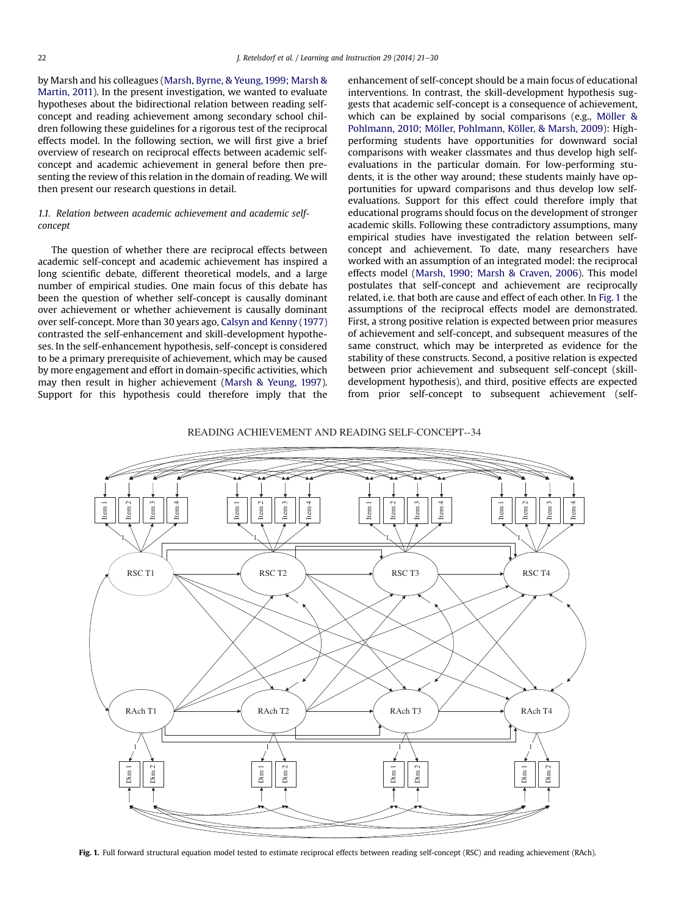by Marsh and his colleagues (Marsh, Byrne, & Yeung, 1999; Marsh & Martin, 2011). In the present investigation, we wanted to evaluate hypotheses about the bidirectional relation between reading selfconcept and reading achievement among secondary school children following these guidelines for a rigorous test of the reciprocal effects model. In the following section, we will first give a brief overview of research on reciprocal effects between academic selfconcept and academic achievement in general before then presenting the review of this relation in the domain of reading. We will then present our research questions in detail.

# 1.1. Relation between academic achievement and academic selfconcept

The question of whether there are reciprocal effects between academic self-concept and academic achievement has inspired a long scientific debate, different theoretical models, and a large number of empirical studies. One main focus of this debate has been the question of whether self-concept is causally dominant over achievement or whether achievement is causally dominant over self-concept. More than 30 years ago, Calsyn and Kenny (1977) contrasted the self-enhancement and skill-development hypotheses. In the self-enhancement hypothesis, self-concept is considered to be a primary prerequisite of achievement, which may be caused by more engagement and effort in domain-specific activities, which may then result in higher achievement (Marsh & Yeung, 1997). Support for this hypothesis could therefore imply that the enhancement of self-concept should be a main focus of educational interventions. In contrast, the skill-development hypothesis suggests that academic self-concept is a consequence of achievement, which can be explained by social comparisons (e.g., Möller & Pohlmann, 2010; Möller, Pohlmann, Köller, & Marsh, 2009): Highperforming students have opportunities for downward social comparisons with weaker classmates and thus develop high selfevaluations in the particular domain. For low-performing students, it is the other way around; these students mainly have opportunities for upward comparisons and thus develop low selfevaluations. Support for this effect could therefore imply that educational programs should focus on the development of stronger academic skills. Following these contradictory assumptions, many empirical studies have investigated the relation between selfconcept and achievement. To date, many researchers have worked with an assumption of an integrated model: the reciprocal effects model (Marsh, 1990; Marsh & Craven, 2006). This model postulates that self-concept and achievement are reciprocally related, i.e. that both are cause and effect of each other. In Fig. 1 the assumptions of the reciprocal effects model are demonstrated. First, a strong positive relation is expected between prior measures of achievement and self-concept, and subsequent measures of the same construct, which may be interpreted as evidence for the stability of these constructs. Second, a positive relation is expected between prior achievement and subsequent self-concept (skilldevelopment hypothesis), and third, positive effects are expected from prior self-concept to subsequent achievement (self-

### READING ACHIEVEMENT AND READING SELF-CONCEPT--34



Fig. 1. Full forward structural equation model tested to estimate reciprocal effects between reading self-concept (RSC) and reading achievement (RAch).